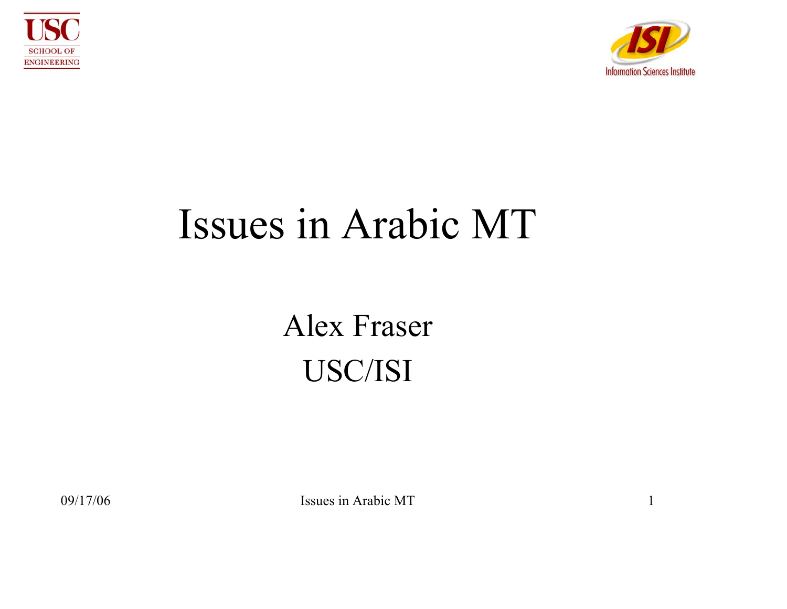



#### Issues in Arabic MT

#### Alex Fraser USC/ISI

09/17/06 Issues in Arabic MT 1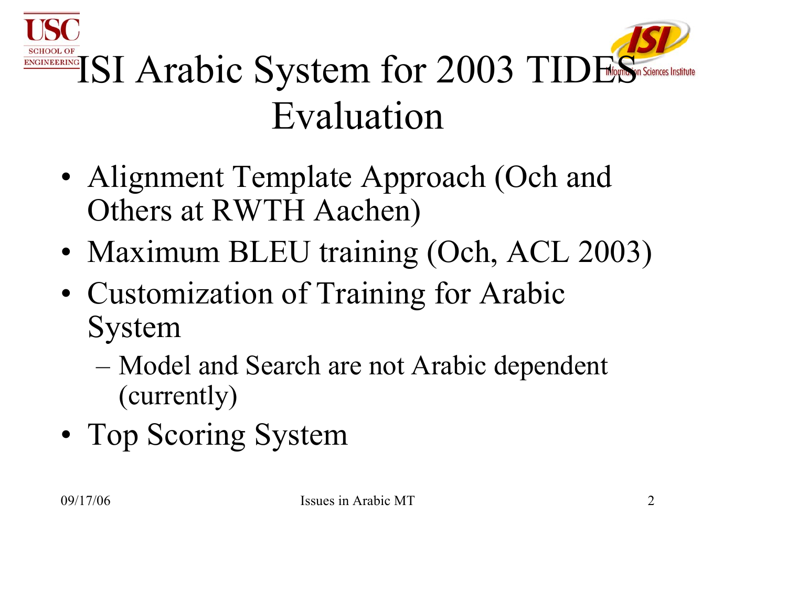



- Alignment Template Approach (Och and Others at RWTH Aachen)
- Maximum BLEU training (Och, ACL 2003)
- Customization of Training for Arabic System
	- Model and Search are not Arabic dependent (currently)
- Top Scoring System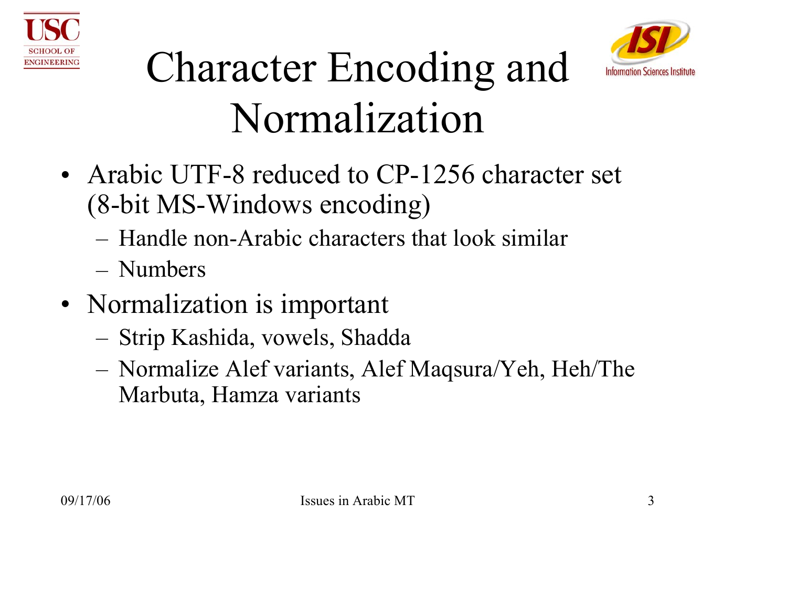



### Character Encoding and Normalization

- Arabic UTF-8 reduced to CP-1256 character set (8-bit MS-Windows encoding)
	- Handle non-Arabic characters that look similar
	- Numbers
- Normalization is important
	- –Strip Kashida, vowels, Shadda
	- – Normalize Alef variants, Alef Maqsura/Yeh, Heh/The Marbuta, Hamza variants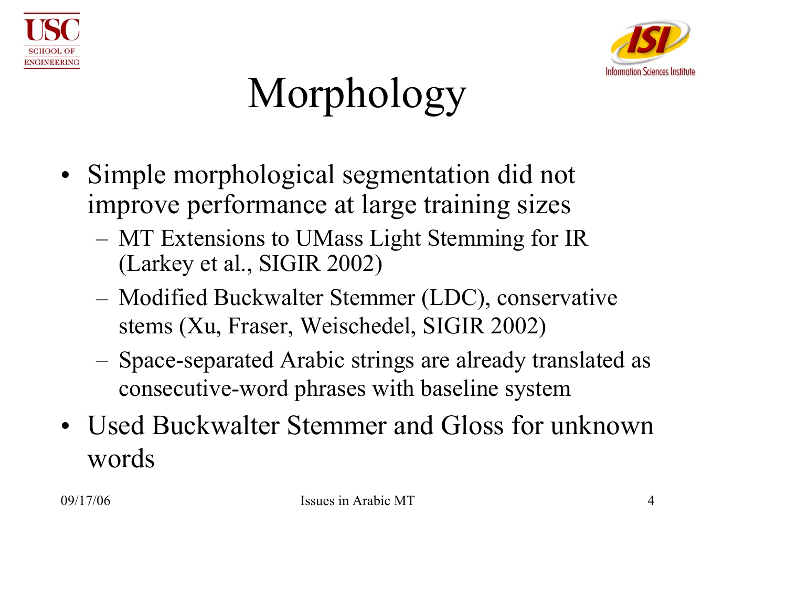



# Morphology

- Simple morphological segmentation did not improve performance at large training sizes
	- – MT Extensions to UMass Light Stemming for IR (Larkey et al., SIGIR 2002)
	- – Modified Buckwalter Stemmer (LDC), conservative stems (Xu, Fraser, Weischedel, SIGIR 2002)
	- – Space-separated Arabic strings are already translated as consecutive-word phrases with baseline system
- Used Buckwalter Stemmer and Gloss for unknown words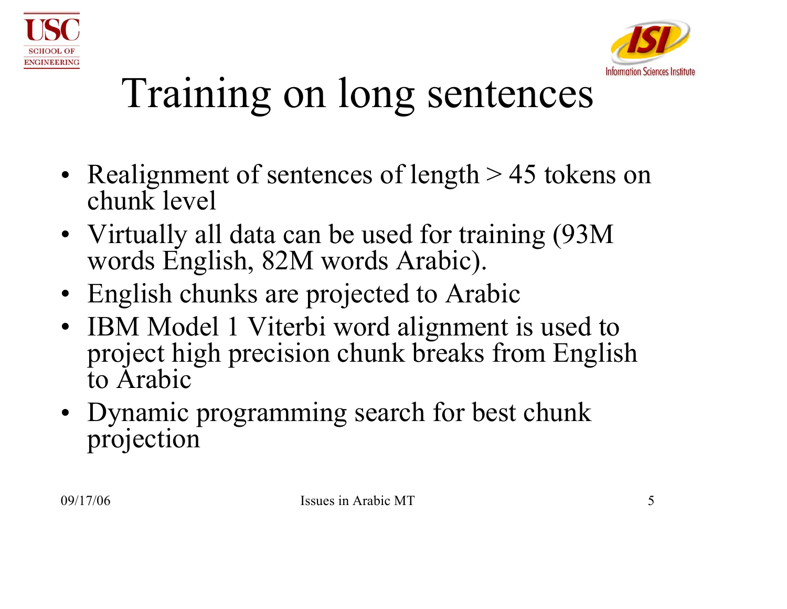



## Training on long sentences

- Realignment of sentences of length > 45 tokens on chunk level
- Virtually all data can be used for training (93M words English, 82M words Arabic).
- English chunks are projected to Arabic
- IBM Model 1 Viterbi word alignment is used to project high precision chunk breaks from English to Arabic
- Dynamic programming search for best chunk projection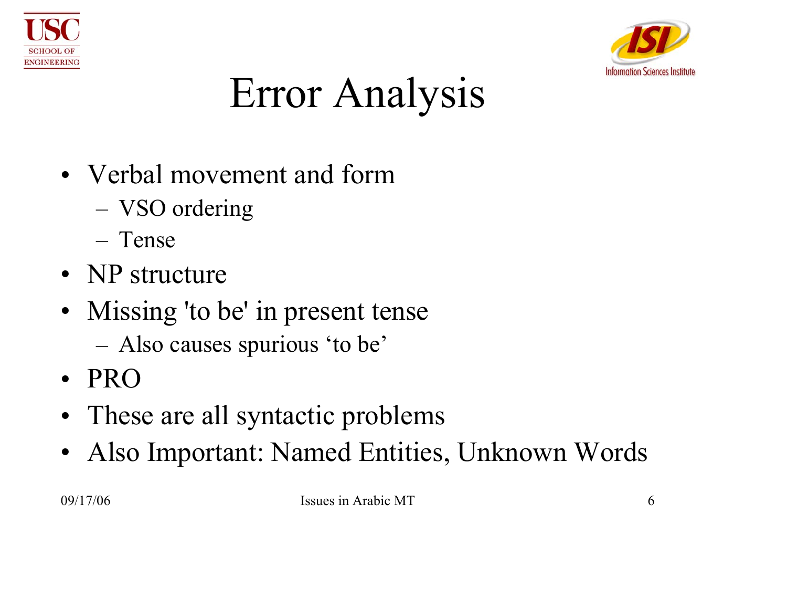



## Error Analysis

- Verbal movement and form
	- –VSO ordering
	- Tense
- NP structure
- Missing 'to be' in present tense
	- Also causes spurious 'to be'
- PRO
- These are all syntactic problems
- $\bullet$ Also Important: Named Entities, Unknown Words